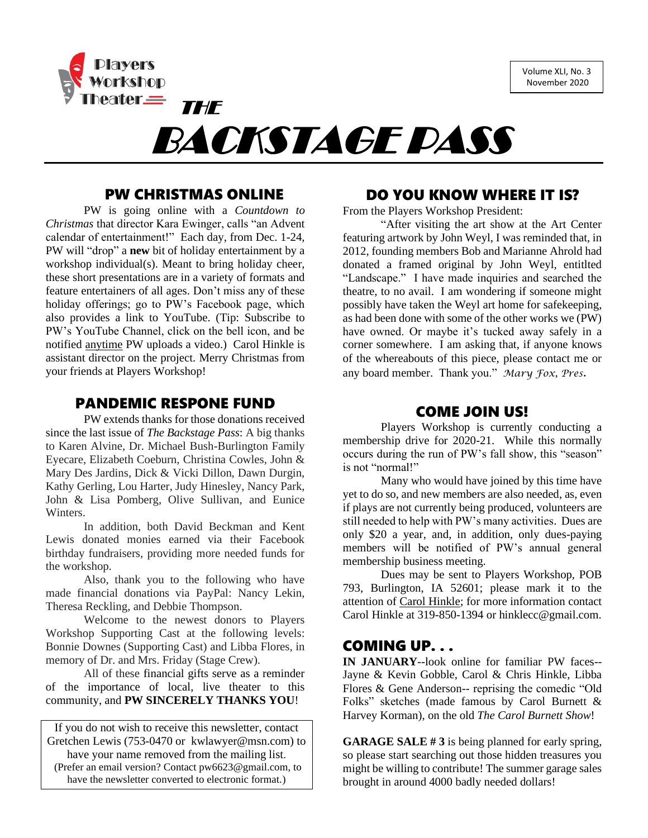Volume XLI, No. 3 November 2020



### PW CHRISTMAS ONLINE

PW is going online with a *Countdown to Christmas* that director Kara Ewinger, calls "an Advent calendar of entertainment!" Each day, from Dec. 1-24, PW will "drop" a **new** bit of holiday entertainment by a workshop individual(s). Meant to bring holiday cheer, these short presentations are in a variety of formats and feature entertainers of all ages. Don't miss any of these holiday offerings; go to PW's Facebook page, which also provides a link to YouTube. (Tip: Subscribe to PW's YouTube Channel, click on the bell icon, and be notified anytime PW uploads a video.) Carol Hinkle is assistant director on the project. Merry Christmas from your friends at Players Workshop!

#### PANDEMIC RESPONE FUND

PW extends thanks for those donations received since the last issue of *The Backstage Pass*: A big thanks to Karen Alvine, Dr. Michael Bush-Burlington Family Eyecare, Elizabeth Coeburn, Christina Cowles, John & Mary Des Jardins, Dick & Vicki Dillon, Dawn Durgin, Kathy Gerling, Lou Harter, Judy Hinesley, Nancy Park, John & Lisa Pomberg, Olive Sullivan, and Eunice Winters.

In addition, both David Beckman and Kent Lewis donated monies earned via their Facebook birthday fundraisers, providing more needed funds for the workshop.

Also, thank you to the following who have made financial donations via PayPal: Nancy Lekin, Theresa Reckling, and Debbie Thompson.

Welcome to the newest donors to Players Workshop Supporting Cast at the following levels: Bonnie Downes (Supporting Cast) and Libba Flores, in memory of Dr. and Mrs. Friday (Stage Crew).

All of these financial gifts serve as a reminder of the importance of local, live theater to this community, and **PW SINCERELY THANKS YOU**!

If you do not wish to receive this newsletter, contact Gretchen Lewis (753-0470 or kwlawyer@msn.com) to have your name removed from the mailing list. (Prefer an email version? Contact pw6623@gmail.com, to have the newsletter converted to electronic format.)

#### DO YOU KNOW WHERE IT IS?

From the Players Workshop President:

"After visiting the art show at the Art Center featuring artwork by John Weyl, I was reminded that, in 2012, founding members Bob and Marianne Ahrold had donated a framed original by John Weyl, entitlted "Landscape." I have made inquiries and searched the theatre, to no avail. I am wondering if someone might possibly have taken the Weyl art home for safekeeping, as had been done with some of the other works we (PW) have owned. Or maybe it's tucked away safely in a corner somewhere. I am asking that, if anyone knows of the whereabouts of this piece, please contact me or any board member. Thank you." *Mary Fox, Pres.* 

#### COME JOIN US!

Players Workshop is currently conducting a membership drive for 2020-21. While this normally occurs during the run of PW's fall show, this "season" is not "normal!"

Many who would have joined by this time have yet to do so, and new members are also needed, as, even if plays are not currently being produced, volunteers are still needed to help with PW's many activities. Dues are only \$20 a year, and, in addition, only dues-paying members will be notified of PW's annual general membership business meeting.

Dues may be sent to Players Workshop, POB 793, Burlington, IA 52601; please mark it to the attention of Carol Hinkle; for more information contact Carol Hinkle at 319-850-1394 or hinklecc@gmail.com.

### COMING UP. . .

**IN JANUARY**--look online for familiar PW faces-- Jayne & Kevin Gobble, Carol & Chris Hinkle, Libba Flores & Gene Anderson-- reprising the comedic "Old Folks" sketches (made famous by Carol Burnett & Harvey Korman), on the old *The Carol Burnett Show*!

**GARAGE SALE # 3** is being planned for early spring, so please start searching out those hidden treasures you might be willing to contribute! The summer garage sales brought in around 4000 badly needed dollars!